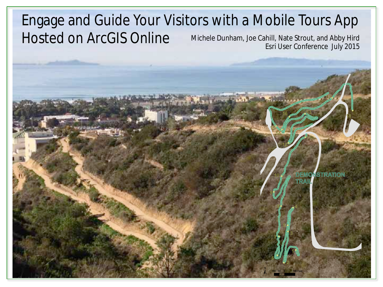#### Engage and Guide Your Visitors with a Mobile Tours App Hosted on ArcGIS Online Michele Dunham, Joe Cahill, Nate Strout, and Abby Hird Esri User Conference July 2015

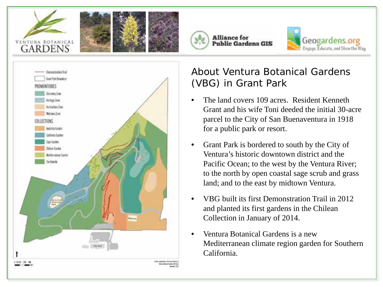







#### About Ventura Botanical Gardens (VBG) in Grant Park

- The land covers 109 acres. Resident Kenneth Grant and his wife Toni deeded the initial 30-acre parcel to the City of San Buenaventura in 1918 for a public park or resort.
- Grant Park is bordered to south by the City of Ventura's historic downtown district and the Pacific Ocean; to the west by the Ventura River; to the north by open coastal sage scrub and grass land; and to the east by midtown Ventura.
- VBG built its first Demonstration Trail in 2012 and planted its first gardens in the Chilean Collection in January of 2014.
- Ventura Botanical Gardens is a new Mediterranean climate region garden for Southern California.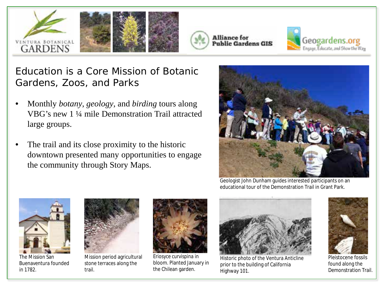







Education is a Core Mission of Botanic Gardens, Zoos, and Parks

- Monthly *botany*, *geology*, and *birding* tours along VBG's new 1 ¼ mile Demonstration Trail attracted large groups.
- The trail and its close proximity to the historic downtown presented many opportunities to engage the community through Story Maps.



Geologist John Dunham guides interested participants on an educational tour of the Demonstration Trail in Grant Park.



The Mission San Buenaventura founded in 1782.



Mission period agricultural stone terraces along the trail.



*Eriosyce curvispina* in bloom. Planted January in the Chilean garden.



Historic photo of the Ventura Anticline prior to the building of California Highway 101.



Pleistocene fossils found along the Demonstration Trail.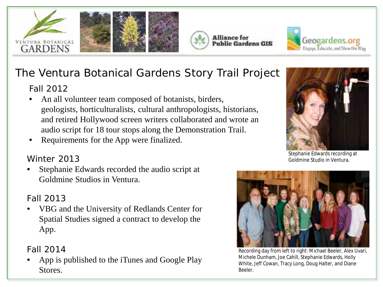







## The Ventura Botanical Gardens Story Trail Project

#### Fall 2012

- An all volunteer team composed of botanists, birders, geologists, horticulturalists, cultural anthropologists, historians, and retired Hollywood screen writers collaborated and wrote an audio script for 18 tour stops along the Demonstration Trail.
- Requirements for the App were finalized.

#### Winter 2013

Stephanie Edwards recorded the audio script at Goldmine Studios in Ventura.

#### Fall 2013

• VBG and the University of Redlands Center for Spatial Studies signed a contract to develop the App.

#### Fall 2014

• App is published to the iTunes and Google Play Stores.



Stephanie Edwards recording at Goldmine Studio in Ventura.



Recording day from left to right: Michael Beeler, Alex Uvari, Michele Dunham, Joe Cahill, Stephanie Edwards, Holly White, Jeff Cowan, Tracy Long, Doug Halter, and Diane Beeler.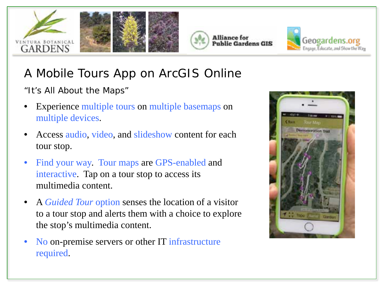







# A Mobile Tours App on ArcGIS Online

*"It's All About the Maps"*

- Experience multiple tours on multiple basemaps on multiple devices.
- Access audio, video, and slideshow content for each tour stop.
- Find your way. Tour maps are GPS-enabled and interactive. Tap on a tour stop to access its multimedia content.
- A *Guided Tour* option senses the location of a visitor to a tour stop and alerts them with a choice to explore the stop's multimedia content.
- No on-premise servers or other IT infrastructure required.

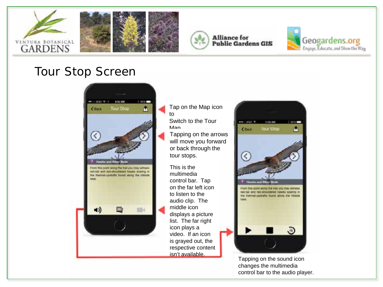







### Tour Stop Screen



- Tap on the Map icon to
- Switch to the Tour Man
- Tapping on the arrows will move you forward or back through the tour stops.

This is the multimedia control bar. Tap on the far left icon to listen to the audio clip. The middle icon displays a picture list. The far right icon plays a video. If an icon is grayed out, the respective content isn't available.



Tapping on the sound icon changes the multimedia control bar to the audio player.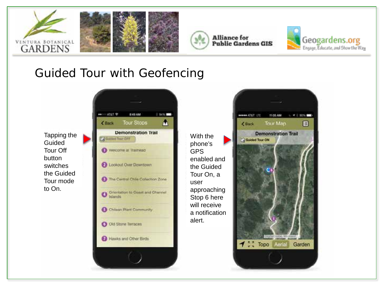





## Guided Tour with Geofencing

Tapping the Guided Tour Off button switches the Guided Tour mode to On.



With the phone's GPS enabled and the Guided Tour On, a user approaching Stop 6 here will receive a notification alert.

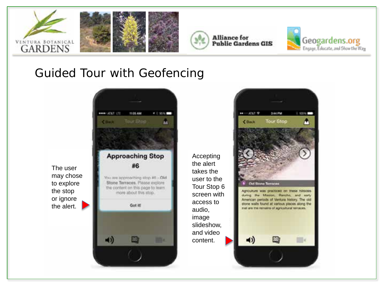





## Guided Tour with Geofencing



Accepting the alert takes the user to the Tour Stop 6 screen with access to audio, image slideshow, and video content.

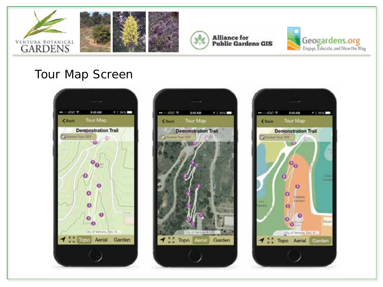





## Tour Map Screen





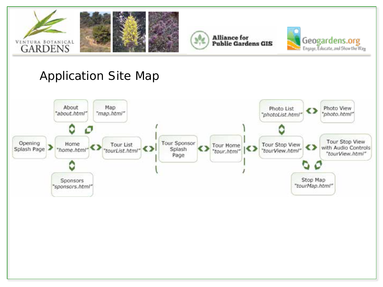





## Application Site Map

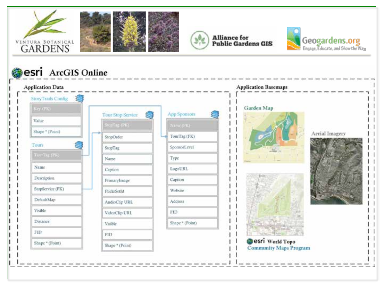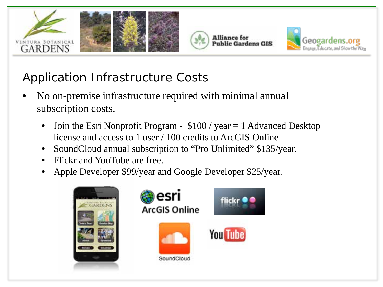





# Application Infrastructure Costs

- No on-premise infrastructure required with minimal annual subscription costs.
	- Join the Esri Nonprofit Program  $$100 / year = 1$  Advanced Desktop license and access to 1 user / 100 credits to ArcGIS Online
	- SoundCloud annual subscription to "Pro Unlimited" \$135/year.
	- Flickr and YouTube are free.
	- Apple Developer \$99/year and Google Developer \$25/year.

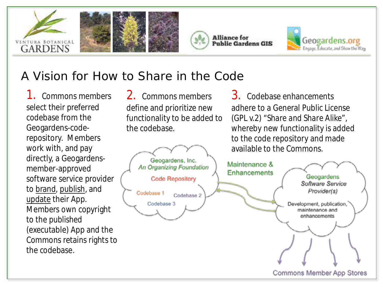







## A Vision for How to *Share in the Code*

1. Commons members select their preferred codebase from the Geogardens-coderepository. Members work with, and pay directly, a Geogardensmember-approved software service provider to brand, publish, and update their App. Members own copyright to the *published* (executable) App and the Commons retains rights to the codebase.

2. Commons members define and prioritize new functionality to be added to the codebase.

3. Codebase enhancements adhere to a General Public License (GPL v.2*) "Share and Share Alike"*, whereby new functionality is added to the code repository and made available to the Commons.

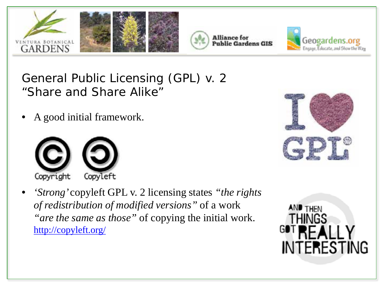





## General Public Licensing (GPL) v. 2 *"Share and Share Alike"*

• A good initial framework.



• *'Strong'* copyleft GPL v. 2 licensing states *"the rights of redistribution of modified versions"* of a work *"are the same as those"* of copying the initial work. <http://copyleft.org/>



**AND THEN** 

**INTERESTING**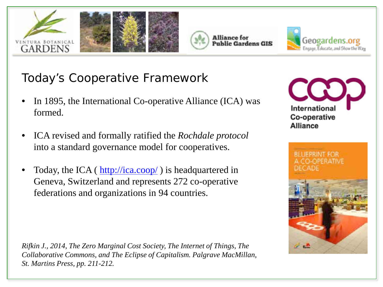







## Today's Cooperative Framework

- In 1895, the International Co-operative Alliance (ICA) was formed.
- ICA revised and formally ratified the *Rochdale protocol*  into a standard governance model for cooperatives.
- Today, the ICA (<http://ica.coop/> ) is headquartered in Geneva, Switzerland and represents 272 co-operative federations and organizations in 94 countries.

*Rifkin J., 2014, The Zero Marginal Cost Society, The Internet of Things, The Collaborative Commons, and The Eclipse of Capitalism. Palgrave MacMillan, St. Martins Press, pp. 211-212.*



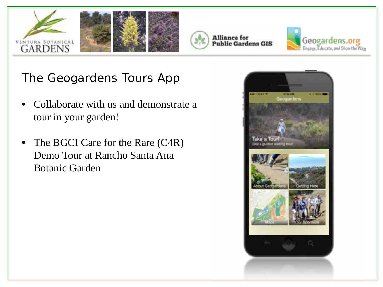





The Geogardens Tours App

- Collaborate with us and demonstrate a tour in your garden!
- The BGCI Care for the Rare (C4R) Demo Tour at Rancho Santa Ana Botanic Garden